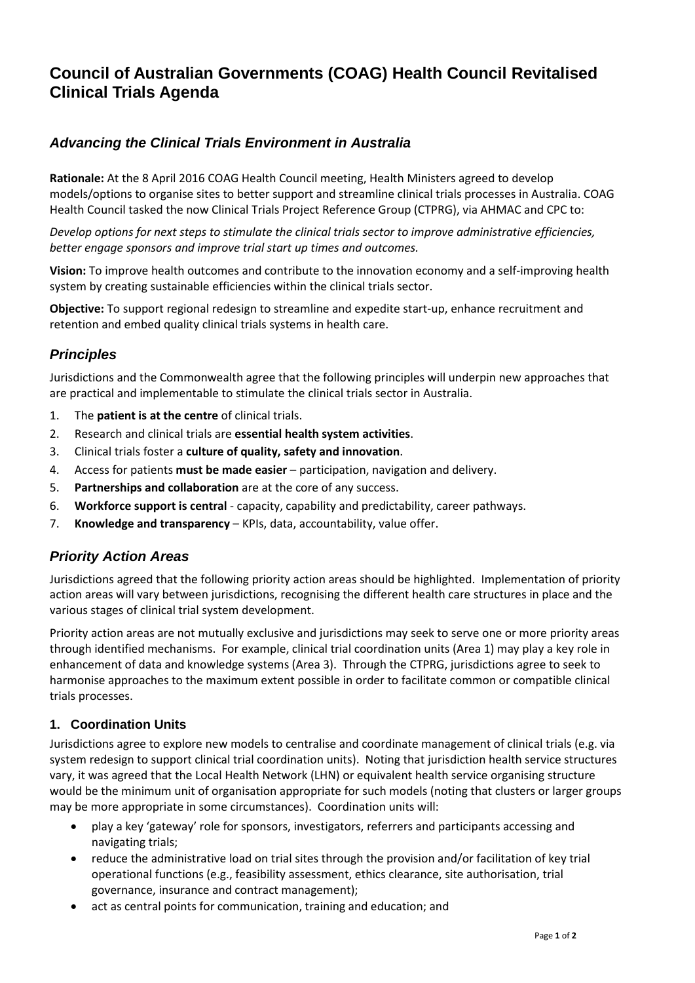# **Council of Australian Governments (COAG) Health Council Revitalised Clinical Trials Agenda**

# *Advancing the Clinical Trials Environment in Australia*

**Rationale:** At the 8 April 2016 COAG Health Council meeting, Health Ministers agreed to develop models/options to organise sites to better support and streamline clinical trials processes in Australia. COAG Health Council tasked the now Clinical Trials Project Reference Group (CTPRG), via AHMAC and CPC to:

*Develop options for next steps to stimulate the clinical trials sector to improve administrative efficiencies, better engage sponsors and improve trial start up times and outcomes.* 

**Vision:** To improve health outcomes and contribute to the innovation economy and a self-improving health system by creating sustainable efficiencies within the clinical trials sector.

**Objective:** To support regional redesign to streamline and expedite start-up, enhance recruitment and retention and embed quality clinical trials systems in health care.

## *Principles*

Jurisdictions and the Commonwealth agree that the following principles will underpin new approaches that are practical and implementable to stimulate the clinical trials sector in Australia.

- 1. The **patient is at the centre** of clinical trials.
- 2. Research and clinical trials are **essential health system activities**.
- 3. Clinical trials foster a **culture of quality, safety and innovation**.
- 4. Access for patients **must be made easier** participation, navigation and delivery.
- 5. **Partnerships and collaboration** are at the core of any success.
- 6. **Workforce support is central** capacity, capability and predictability, career pathways.
- 7. **Knowledge and transparency** KPIs, data, accountability, value offer.

## *Priority Action Areas*

Jurisdictions agreed that the following priority action areas should be highlighted. Implementation of priority action areas will vary between jurisdictions, recognising the different health care structures in place and the various stages of clinical trial system development.

Priority action areas are not mutually exclusive and jurisdictions may seek to serve one or more priority areas through identified mechanisms. For example, clinical trial coordination units (Area 1) may play a key role in enhancement of data and knowledge systems (Area 3). Through the CTPRG, jurisdictions agree to seek to harmonise approaches to the maximum extent possible in order to facilitate common or compatible clinical trials processes.

#### **1. Coordination Units**

Jurisdictions agree to explore new models to centralise and coordinate management of clinical trials (e.g. via system redesign to support clinical trial coordination units). Noting that jurisdiction health service structures vary, it was agreed that the Local Health Network (LHN) or equivalent health service organising structure would be the minimum unit of organisation appropriate for such models (noting that clusters or larger groups may be more appropriate in some circumstances). Coordination units will:

- play a key 'gateway' role for sponsors, investigators, referrers and participants accessing and navigating trials;
- reduce the administrative load on trial sites through the provision and/or facilitation of key trial operational functions (e.g., feasibility assessment, ethics clearance, site authorisation, trial governance, insurance and contract management);
- act as central points for communication, training and education; and